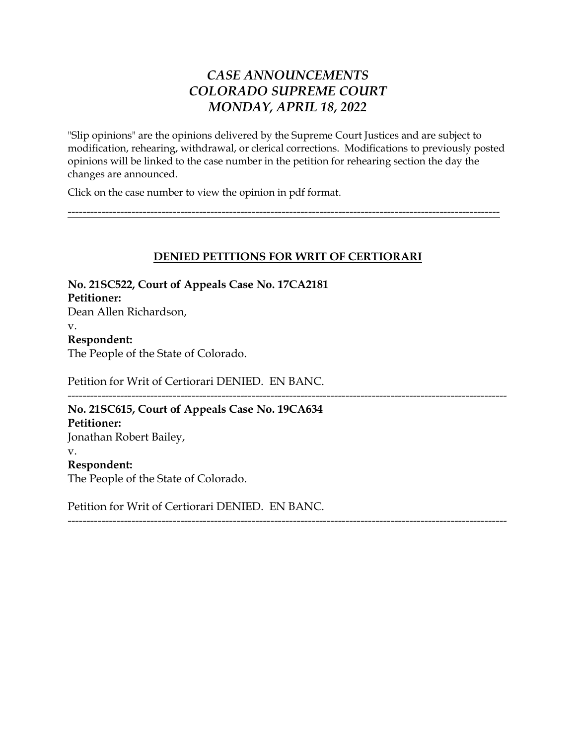# *CASE ANNOUNCEMENTS COLORADO SUPREME COURT MONDAY, APRIL 18, 2022*

"Slip opinions" are the opinions delivered by the Supreme Court Justices and are subject to modification, rehearing, withdrawal, or clerical corrections. Modifications to previously posted opinions will be linked to the case number in the petition for rehearing section the day the changes are announced.

Click on the case number to view the opinion in pdf format.

## **DENIED PETITIONS FOR WRIT OF CERTIORARI**

---------------------------------------------------------------------------------------------------------------------

-------------------------------------------------------------------------------------------------------------------

**No. 21SC522, Court of Appeals Case No. 17CA2181 Petitioner:** Dean Allen Richardson, v. **Respondent:** The People of the State of Colorado. Petition for Writ of Certiorari DENIED. EN BANC. --------------------------------------------------------------------------------------------------------------------- **No. 21SC615, Court of Appeals Case No. 19CA634 Petitioner:** Jonathan Robert Bailey, v.

**Respondent:** The People of the State of Colorado.

Petition for Writ of Certiorari DENIED. EN BANC.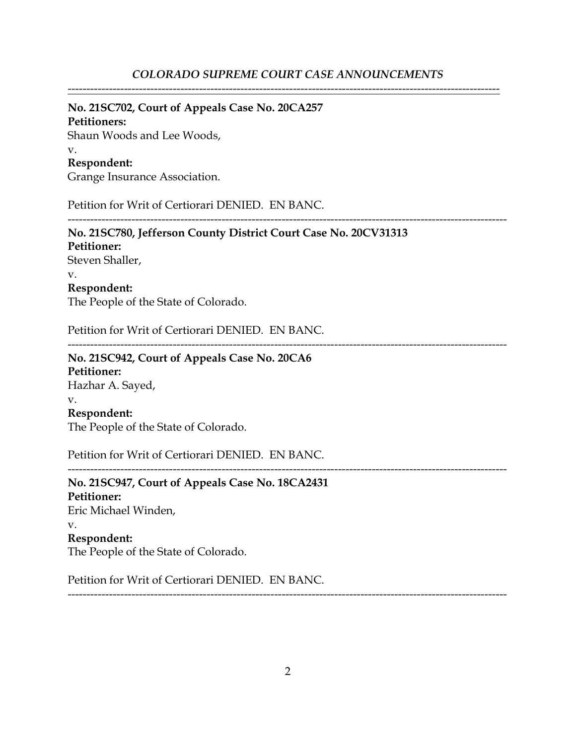#### *COLORADO SUPREME COURT CASE ANNOUNCEMENTS*

-------------------------------------------------------------------------------------------------------------------

#### **No. 21SC702, Court of Appeals Case No. 20CA257**

**Petitioners:** Shaun Woods and Lee Woods, v.

#### **Respondent:**

Grange Insurance Association.

Petition for Writ of Certiorari DENIED. EN BANC.

**No. 21SC780, Jefferson County District Court Case No. 20CV31313 Petitioner:** Steven Shaller, v. **Respondent:** The People of the State of Colorado.

Petition for Writ of Certiorari DENIED. EN BANC.

---------------------------------------------------------------------------------------------------------------------

---------------------------------------------------------------------------------------------------------------------

---------------------------------------------------------------------------------------------------------------------

**No. 21SC942, Court of Appeals Case No. 20CA6 Petitioner:** Hazhar A. Sayed, v. **Respondent:** The People of the State of Colorado.

Petition for Writ of Certiorari DENIED. EN BANC.

**No. 21SC947, Court of Appeals Case No. 18CA2431 Petitioner:** Eric Michael Winden, v. **Respondent:** The People of the State of Colorado.

Petition for Writ of Certiorari DENIED. EN BANC.

2

---------------------------------------------------------------------------------------------------------------------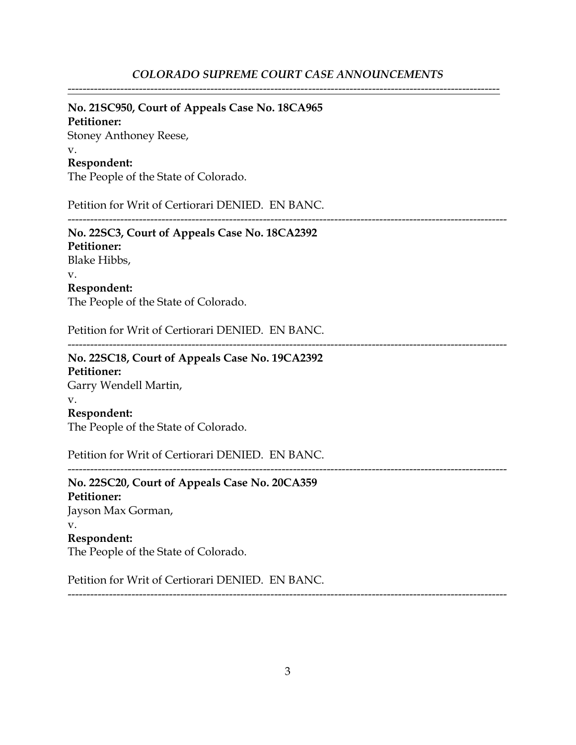-------------------------------------------------------------------------------------------------------------------

### **No. 21SC950, Court of Appeals Case No. 18CA965**

**Petitioner:** Stoney Anthoney Reese, v. **Respondent:**

The People of the State of Colorado.

Petition for Writ of Certiorari DENIED. EN BANC.

---------------------------------------------------------------------------------------------------------------------

**No. 22SC3, Court of Appeals Case No. 18CA2392 Petitioner:** Blake Hibbs, v.

**Respondent:**

The People of the State of Colorado.

Petition for Writ of Certiorari DENIED. EN BANC.

---------------------------------------------------------------------------------------------------------------------

**No. 22SC18, Court of Appeals Case No. 19CA2392 Petitioner:** Garry Wendell Martin, v. **Respondent:**

The People of the State of Colorado.

Petition for Writ of Certiorari DENIED. EN BANC.

---------------------------------------------------------------------------------------------------------------------

**No. 22SC20, Court of Appeals Case No. 20CA359 Petitioner:** Jayson Max Gorman, v. **Respondent:** The People of the State of Colorado.

Petition for Writ of Certiorari DENIED. EN BANC.

3

---------------------------------------------------------------------------------------------------------------------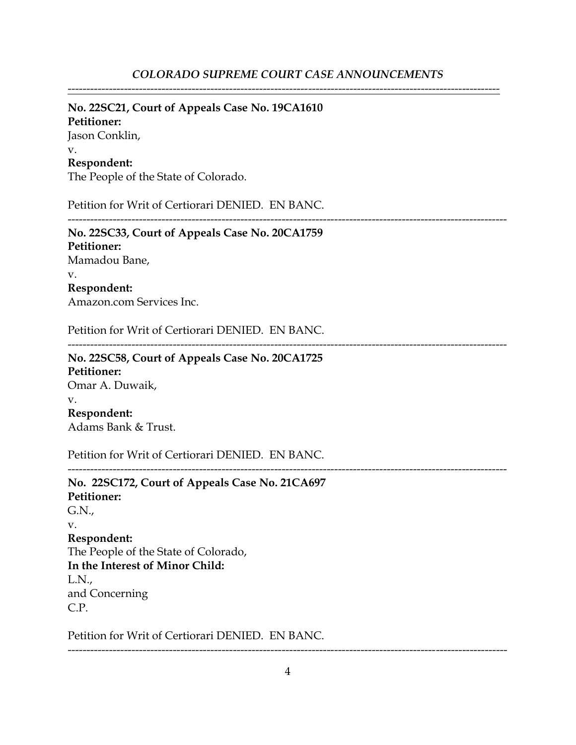-------------------------------------------------------------------------------------------------------------------

#### **No. 22SC21, Court of Appeals Case No. 19CA1610 Petitioner:**

Jason Conklin, v. **Respondent:**

The People of the State of Colorado.

Petition for Writ of Certiorari DENIED. EN BANC.

---------------------------------------------------------------------------------------------------------------------

**No. 22SC33, Court of Appeals Case No. 20CA1759 Petitioner:** Mamadou Bane, v. **Respondent:** Amazon.com Services Inc.

Petition for Writ of Certiorari DENIED. EN BANC.

---------------------------------------------------------------------------------------------------------------------

**No. 22SC58, Court of Appeals Case No. 20CA1725 Petitioner:** Omar A. Duwaik, v. **Respondent:** Adams Bank & Trust.

Petition for Writ of Certiorari DENIED. EN BANC.

---------------------------------------------------------------------------------------------------------------------

**No. 22SC172, Court of Appeals Case No. 21CA697 Petitioner:** G.N., v. **Respondent:** The People of the State of Colorado, **In the Interest of Minor Child:** L.N., and Concerning C.P.

Petition for Writ of Certiorari DENIED. EN BANC.

---------------------------------------------------------------------------------------------------------------------